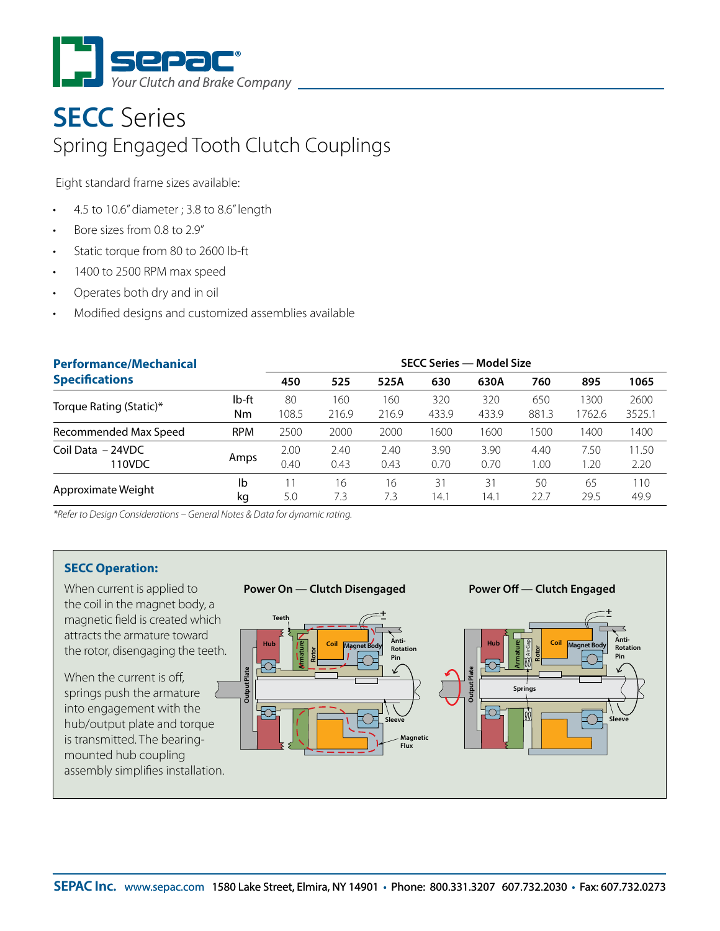

## **SECC** Series Spring Engaged Tooth Clutch Couplings

Eight standard frame sizes available:

- 4.5 to 10.6" diameter ; 3.8 to 8.6" length
- Bore sizes from 0.8 to 2.9"
- Static torque from 80 to 2600 lb-ft
- 1400 to 2500 RPM max speed
- Operates both dry and in oil
- Modified designs and customized assemblies available

| <b>Performance/Mechanical</b>                                              |            | <b>SECC Series - Model Size</b> |              |              |              |              |              |              |               |
|----------------------------------------------------------------------------|------------|---------------------------------|--------------|--------------|--------------|--------------|--------------|--------------|---------------|
| <b>Specifications</b>                                                      |            | 450                             | 525          | 525A         | 630          | 630A         | 760          | 895          | 1065          |
|                                                                            | lb-ft      | 80                              | <b>60</b>    | 160          | 320          | 320          | 650          | 1300         | 2600          |
| Torque Rating (Static)*                                                    | Nm         | 108.5                           | 216.9        | 216.9        | 433.9        | 433.9        | 881.3        | 1762.6       | 3525.1        |
| Recommended Max Speed                                                      | <b>RPM</b> | 2500                            | 2000         | 2000         | 1600         | 1600         | 1500         | 1400         | 1400          |
| Coil Data - 24VDC<br>110VDC                                                | Amps       | 2.00<br>0.40                    | 2.40<br>0.43 | 2.40<br>0.43 | 3.90<br>0.70 | 3.90<br>0.70 | 4.40<br>1.00 | 7.50<br>1.20 | 11.50<br>2.20 |
| Approximate Weight                                                         | Ib<br>kq   | 5.0                             | 16<br>7.3    | 16<br>7.3    | 31<br>14.1   | 31<br>14.1   | 50<br>22.7   | 65<br>29.5   | 110<br>49.9   |
| *Refer to Design Considerations – General Notes & Data for dynamic rating. |            |                                 |              |              |              |              |              |              |               |

\*Refer to Design Considerations – General Notes & Data for dynamic rating. The bearing-mounted hub

## **SECC Operation:**

installation.

the rotor, disengaging the teeth. When current is applied to the coil in the magnet body, a magnetic field is created which attracts the armature toward

 $t_{\rm max}$  the magnetic of  $\epsilon$ When the current is off, springs push the armature into engagement with the hub/output plate and torque is transmitted. The bearingmounted hub coupling assembly simplifies installation.





**Power Off — Clutch Engaged**